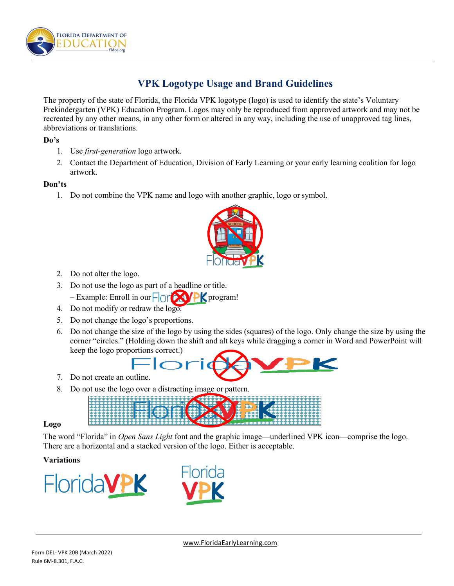

# **VPK Logotype Usage and Brand Guidelines**

The property of the state of Florida, the Florida VPK logotype (logo) is used to identify the state's Voluntary Prekindergarten (VPK) Education Program. Logos may only be reproduced from approved artwork and may not be recreated by any other means, in any other form or altered in any way, including the use of unapproved tag lines, abbreviations or translations.

## **Do's**

- 1. Use *first-generation* logo artwork.
- 2. Contact the Department of Education, Division of Early Learning or your early learning coalition for logo artwork.

## **Don'ts**

1. Do not combine the VPK name and logo with another graphic, logo or symbol.



- 2. Do not alter the logo.
- 3. Do not use the logo as part of a headline or title. – Example: Enroll in our program!
- 4. Do not modify or redraw the logo.
- 5. Do not change the logo's proportions.
- 6. Do not change the size of the logo by using the sides (squares) of the logo. Only change the size by using the corner "circles." (Holding down the shift and alt keys while dragging a corner in Word and PowerPoint will keep the logo proportions correct.)

- 7. Do not create an outline.
- 8. Do not use the logo over a distracting image or pattern.
	-

#### **Logo**

The word "Florida" in *Open Sans Light* font and the graphic image—underlined VPK icon—comprise the logo. There are a horizontal and a stacked version of the logo. Either is acceptable.

## **Variations**